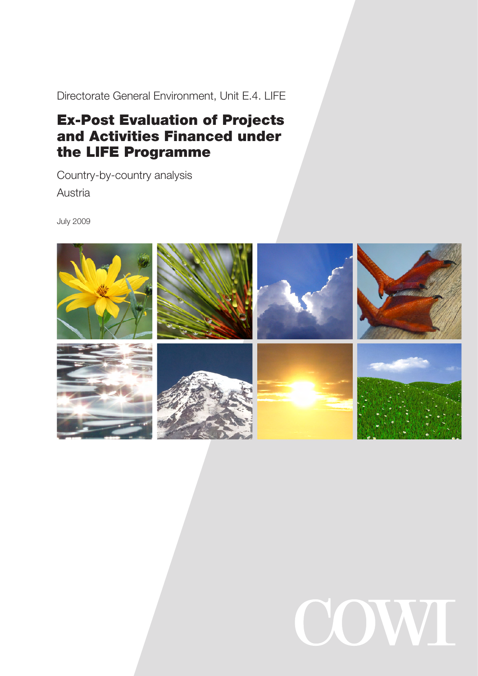Directorate General Environment, Unit E.4. LIFE

# Ex-Post Evaluation of Projects and Activities Financed under the LIFE Programme

Country-by-country analysis Austria

July 2009



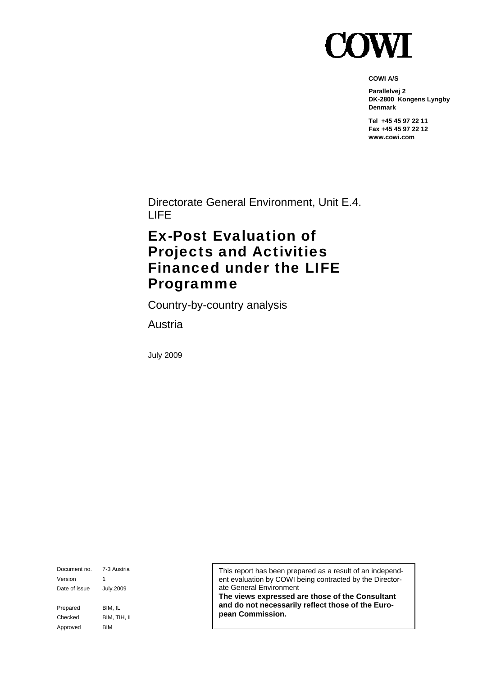

**COWI A/S** 

**Parallelvej 2 DK-2800 Kongens Lyngby Denmark** 

**Tel +45 45 97 22 11 Fax +45 45 97 22 12 www.cowi.com** 

Directorate General Environment, Unit E.4. LIFE

# Ex-Post Evaluation of Projects and Activities Financed under the LIFE Programme

Country-by-country analysis

Austria

July 2009

Document no. 7-3 Austria Version 1 Date of issue July.2009 Prepared BIM, IL Checked BIM, TIH, IL Approved BIM

This report has been prepared as a result of an independent evaluation by COWI being contracted by the Directorate General Environment

**The views expressed are those of the Consultant and do not necessarily reflect those of the European Commission.**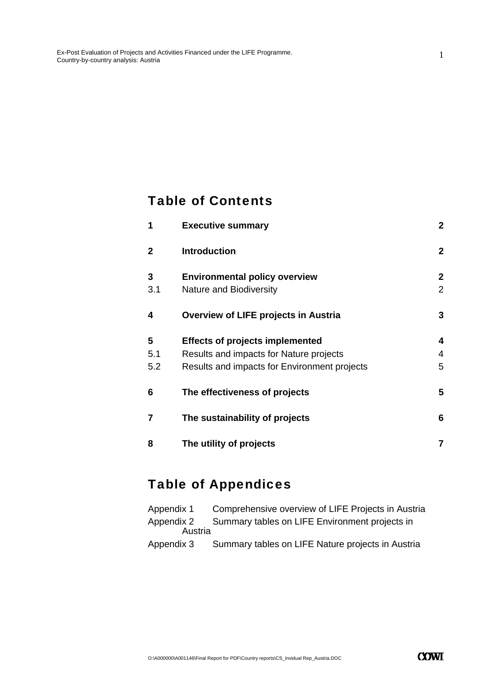### Table of Contents

| 1   | <b>Executive summary</b>                     | $\overline{2}$ |
|-----|----------------------------------------------|----------------|
| 2   | <b>Introduction</b>                          | $\overline{2}$ |
| 3   | <b>Environmental policy overview</b>         | $\overline{2}$ |
| 3.1 | <b>Nature and Biodiversity</b>               | $\overline{2}$ |
| 4   | <b>Overview of LIFE projects in Austria</b>  | 3              |
| 5   | <b>Effects of projects implemented</b>       | 4              |
| 5.1 | Results and impacts for Nature projects      | 4              |
| 5.2 | Results and impacts for Environment projects | 5              |
| 6   | The effectiveness of projects                | 5              |
| 7   | The sustainability of projects               | 6              |
| 8   | The utility of projects                      | 7              |

# Table of Appendices

| Appendix 1 | Comprehensive overview of LIFE Projects in Austria |
|------------|----------------------------------------------------|
| Appendix 2 | Summary tables on LIFE Environment projects in     |
| Austria    |                                                    |
| Appendix 3 | Summary tables on LIFE Nature projects in Austria  |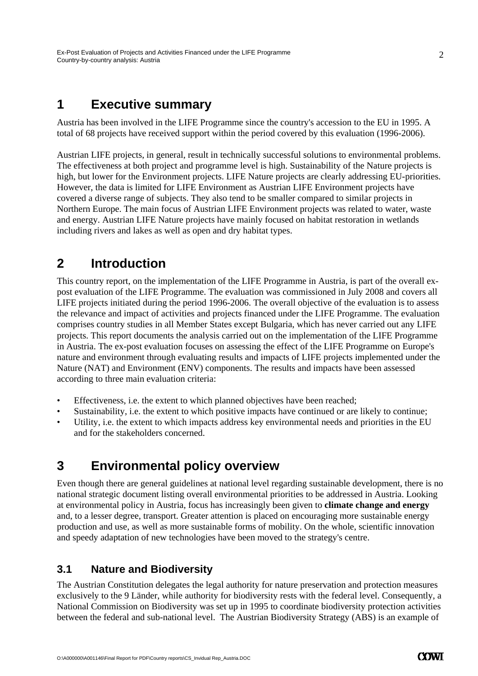### **1 Executive summary**

Austria has been involved in the LIFE Programme since the country's accession to the EU in 1995. A total of 68 projects have received support within the period covered by this evaluation (1996-2006).

Austrian LIFE projects, in general, result in technically successful solutions to environmental problems. The effectiveness at both project and programme level is high. Sustainability of the Nature projects is high, but lower for the Environment projects. LIFE Nature projects are clearly addressing EU-priorities. However, the data is limited for LIFE Environment as Austrian LIFE Environment projects have covered a diverse range of subjects. They also tend to be smaller compared to similar projects in Northern Europe. The main focus of Austrian LIFE Environment projects was related to water, waste and energy. Austrian LIFE Nature projects have mainly focused on habitat restoration in wetlands including rivers and lakes as well as open and dry habitat types.

### **2 Introduction**

This country report, on the implementation of the LIFE Programme in Austria, is part of the overall expost evaluation of the LIFE Programme. The evaluation was commissioned in July 2008 and covers all LIFE projects initiated during the period 1996-2006. The overall objective of the evaluation is to assess the relevance and impact of activities and projects financed under the LIFE Programme. The evaluation comprises country studies in all Member States except Bulgaria, which has never carried out any LIFE projects. This report documents the analysis carried out on the implementation of the LIFE Programme in Austria. The ex-post evaluation focuses on assessing the effect of the LIFE Programme on Europe's nature and environment through evaluating results and impacts of LIFE projects implemented under the Nature (NAT) and Environment (ENV) components. The results and impacts have been assessed according to three main evaluation criteria:

- Effectiveness, i.e. the extent to which planned objectives have been reached;
- Sustainability, i.e. the extent to which positive impacts have continued or are likely to continue;
- Utility, i.e. the extent to which impacts address key environmental needs and priorities in the EU and for the stakeholders concerned.

### **3 Environmental policy overview**

Even though there are general guidelines at national level regarding sustainable development, there is no national strategic document listing overall environmental priorities to be addressed in Austria. Looking at environmental policy in Austria, focus has increasingly been given to **climate change and energy** and, to a lesser degree, transport. Greater attention is placed on encouraging more sustainable energy production and use, as well as more sustainable forms of mobility. On the whole, scientific innovation and speedy adaptation of new technologies have been moved to the strategy's centre.

#### **3.1 Nature and Biodiversity**

The Austrian Constitution delegates the legal authority for nature preservation and protection measures exclusively to the 9 Länder, while authority for biodiversity rests with the federal level. Consequently, a National Commission on Biodiversity was set up in 1995 to coordinate biodiversity protection activities between the federal and sub-national level. The Austrian Biodiversity Strategy (ABS) is an example of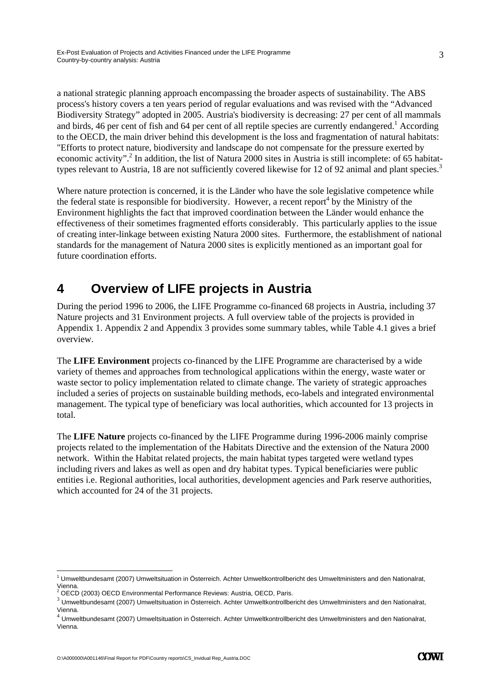a national strategic planning approach encompassing the broader aspects of sustainability. The ABS process's history covers a ten years period of regular evaluations and was revised with the "Advanced Biodiversity Strategy" adopted in 2005. Austria's biodiversity is decreasing: 27 per cent of all mammals and birds, 46 per cent of fish and 64 per cent of all reptile species are currently endangered.<sup>1</sup> According to the OECD, the main driver behind this development is the loss and fragmentation of natural habitats: "Efforts to protect nature, biodiversity and landscape do not compensate for the pressure exerted by economic activity".<sup>2</sup> In addition, the list of Natura 2000 sites in Austria is still incomplete: of 65 habitattypes relevant to Austria, 18 are not sufficiently covered likewise for 12 of 92 animal and plant species.<sup>3</sup>

Where nature protection is concerned, it is the Länder who have the sole legislative competence while the federal state is responsible for biodiversity. However, a recent report<sup>4</sup> by the Ministry of the Environment highlights the fact that improved coordination between the Länder would enhance the effectiveness of their sometimes fragmented efforts considerably. This particularly applies to the issue of creating inter-linkage between existing Natura 2000 sites. Furthermore, the establishment of national standards for the management of Natura 2000 sites is explicitly mentioned as an important goal for future coordination efforts.

### **4 Overview of LIFE projects in Austria**

During the period 1996 to 2006, the LIFE Programme co-financed 68 projects in Austria, including 37 Nature projects and 31 Environment projects. A full overview table of the projects is provided in Appendix 1. Appendix 2 and Appendix 3 provides some summary tables, while Table 4.1 gives a brief overview.

The **LIFE Environment** projects co-financed by the LIFE Programme are characterised by a wide variety of themes and approaches from technological applications within the energy, waste water or waste sector to policy implementation related to climate change. The variety of strategic approaches included a series of projects on sustainable building methods, eco-labels and integrated environmental management. The typical type of beneficiary was local authorities, which accounted for 13 projects in total.

The **LIFE Nature** projects co-financed by the LIFE Programme during 1996-2006 mainly comprise projects related to the implementation of the Habitats Directive and the extension of the Natura 2000 network. Within the Habitat related projects, the main habitat types targeted were wetland types including rivers and lakes as well as open and dry habitat types. Typical beneficiaries were public entities i.e. Regional authorities, local authorities, development agencies and Park reserve authorities, which accounted for 24 of the 31 projects.

<sup>-</sup>1 Umweltbundesamt (2007) Umweltsituation in Österreich. Achter Umweltkontrollbericht des Umweltministers and den Nationalrat, Vienna.

<sup>&</sup>lt;sup>2</sup> OECD (2003) OECD Environmental Performance Reviews: Austria, OECD, Paris.

 $3$  Umweltbundesamt (2007) Umweltsituation in Österreich. Achter Umweltkontrollbericht des Umweltministers and den Nationalrat, Vienna.

 $4$  Umweltbundesamt (2007) Umweltsituation in Österreich. Achter Umweltkontrollbericht des Umweltministers and den Nationalrat, Vienna.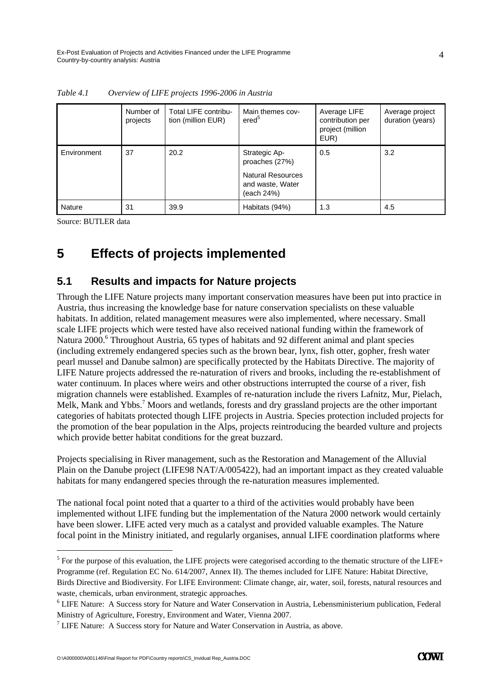|               | Number of<br>projects | Total LIFE contribu-<br>tion (million EUR) | Main themes cov-<br>ered <sup>5</sup>                                                         | Average LIFE<br>contribution per<br>project (million<br>EUR) | Average project<br>duration (years) |
|---------------|-----------------------|--------------------------------------------|-----------------------------------------------------------------------------------------------|--------------------------------------------------------------|-------------------------------------|
| Environment   | 37                    | 20.2                                       | Strategic Ap-<br>proaches (27%)<br><b>Natural Resources</b><br>and waste, Water<br>(each 24%) | 0.5                                                          | 3.2                                 |
| <b>Nature</b> | 31                    | 39.9                                       | Habitats (94%)                                                                                | 1.3                                                          | 4.5                                 |

*Table 4.1 Overview of LIFE projects 1996-2006 in Austria* 

Source: BUTLER data

-

# **5 Effects of projects implemented**

#### **5.1 Results and impacts for Nature projects**

Through the LIFE Nature projects many important conservation measures have been put into practice in Austria, thus increasing the knowledge base for nature conservation specialists on these valuable habitats. In addition, related management measures were also implemented, where necessary. Small scale LIFE projects which were tested have also received national funding within the framework of Natura 2000.<sup>6</sup> Throughout Austria, 65 types of habitats and 92 different animal and plant species (including extremely endangered species such as the brown bear, lynx, fish otter, gopher, fresh water pearl mussel and Danube salmon) are specifically protected by the Habitats Directive. The majority of LIFE Nature projects addressed the re-naturation of rivers and brooks, including the re-establishment of water continuum. In places where weirs and other obstructions interrupted the course of a river, fish migration channels were established. Examples of re-naturation include the rivers Lafnitz, Mur, Pielach, Melk, Mank and Ybbs.<sup>7</sup> Moors and wetlands, forests and dry grassland projects are the other important categories of habitats protected though LIFE projects in Austria. Species protection included projects for the promotion of the bear population in the Alps, projects reintroducing the bearded vulture and projects which provide better habitat conditions for the great buzzard.

Projects specialising in River management, such as the Restoration and Management of the Alluvial Plain on the Danube project (LIFE98 NAT/A/005422), had an important impact as they created valuable habitats for many endangered species through the re-naturation measures implemented.

The national focal point noted that a quarter to a third of the activities would probably have been implemented without LIFE funding but the implementation of the Natura 2000 network would certainly have been slower. LIFE acted very much as a catalyst and provided valuable examples. The Nature focal point in the Ministry initiated, and regularly organises, annual LIFE coordination platforms where

waste, chemicals, urban environment, strategic approaches.

 $<sup>5</sup>$  For the purpose of this evaluation, the LIFE projects were categorised according to the thematic structure of the LIFE+</sup> Programme (ref. Regulation EC No. 614/2007, Annex II). The themes included for LIFE Nature: Habitat Directive, Birds Directive and Biodiversity. For LIFE Environment: Climate change, air, water, soil, forests, natural resources and

<sup>6</sup> LIFE Nature: A Success story for Nature and Water Conservation in Austria, Lebensministerium publication, Federal Ministry of Agriculture, Forestry, Environment and Water, Vienna 2007.

 $7$  LIFE Nature: A Success story for Nature and Water Conservation in Austria, as above.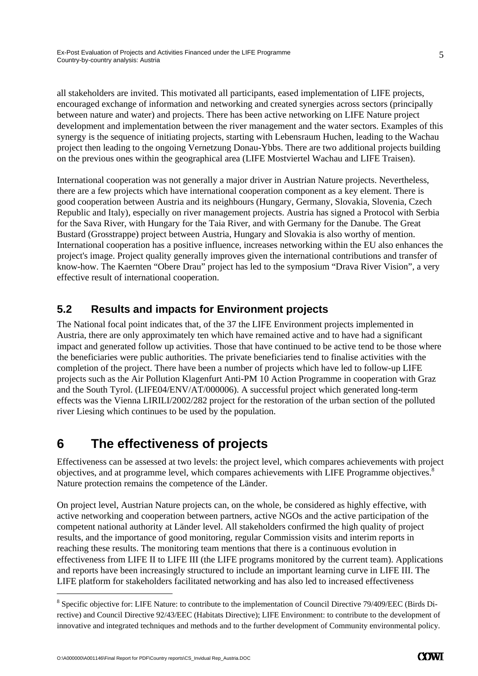all stakeholders are invited. This motivated all participants, eased implementation of LIFE projects, encouraged exchange of information and networking and created synergies across sectors (principally between nature and water) and projects. There has been active networking on LIFE Nature project development and implementation between the river management and the water sectors. Examples of this synergy is the sequence of initiating projects, starting with Lebensraum Huchen, leading to the Wachau project then leading to the ongoing Vernetzung Donau-Ybbs. There are two additional projects building on the previous ones within the geographical area (LIFE Mostviertel Wachau and LIFE Traisen).

International cooperation was not generally a major driver in Austrian Nature projects. Nevertheless, there are a few projects which have international cooperation component as a key element. There is good cooperation between Austria and its neighbours (Hungary, Germany, Slovakia, Slovenia, Czech Republic and Italy), especially on river management projects. Austria has signed a Protocol with Serbia for the Sava River, with Hungary for the Taia River, and with Germany for the Danube. The Great Bustard (Grosstrappe) project between Austria, Hungary and Slovakia is also worthy of mention. International cooperation has a positive influence, increases networking within the EU also enhances the project's image. Project quality generally improves given the international contributions and transfer of know-how. The Kaernten "Obere Drau" project has led to the symposium "Drava River Vision", a very effective result of international cooperation.

#### **5.2 Results and impacts for Environment projects**

The National focal point indicates that, of the 37 the LIFE Environment projects implemented in Austria, there are only approximately ten which have remained active and to have had a significant impact and generated follow up activities. Those that have continued to be active tend to be those where the beneficiaries were public authorities. The private beneficiaries tend to finalise activities with the completion of the project. There have been a number of projects which have led to follow-up LIFE projects such as the Air Pollution Klagenfurt Anti-PM 10 Action Programme in cooperation with Graz and the South Tyrol. (LIFE04/ENV/AT/000006). A successful project which generated long-term effects was the Vienna LIRILI/2002/282 project for the restoration of the urban section of the polluted river Liesing which continues to be used by the population.

# **6 The effectiveness of projects**

Effectiveness can be assessed at two levels: the project level, which compares achievements with project objectives, and at programme level, which compares achievements with LIFE Programme objectives.<sup>8</sup> Nature protection remains the competence of the Länder.

On project level, Austrian Nature projects can, on the whole, be considered as highly effective, with active networking and cooperation between partners, active NGOs and the active participation of the competent national authority at Länder level. All stakeholders confirmed the high quality of project results, and the importance of good monitoring, regular Commission visits and interim reports in reaching these results. The monitoring team mentions that there is a continuous evolution in effectiveness from LIFE II to LIFE III (the LIFE programs monitored by the current team). Applications and reports have been increasingly structured to include an important learning curve in LIFE III. The LIFE platform for stakeholders facilitated networking and has also led to increased effectiveness

-

<sup>&</sup>lt;sup>8</sup> Specific objective for: LIFE Nature: to contribute to the implementation of Council Directive 79/409/EEC (Birds Directive) and Council Directive 92/43/EEC (Habitats Directive); LIFE Environment: to contribute to the development of innovative and integrated techniques and methods and to the further development of Community environmental policy.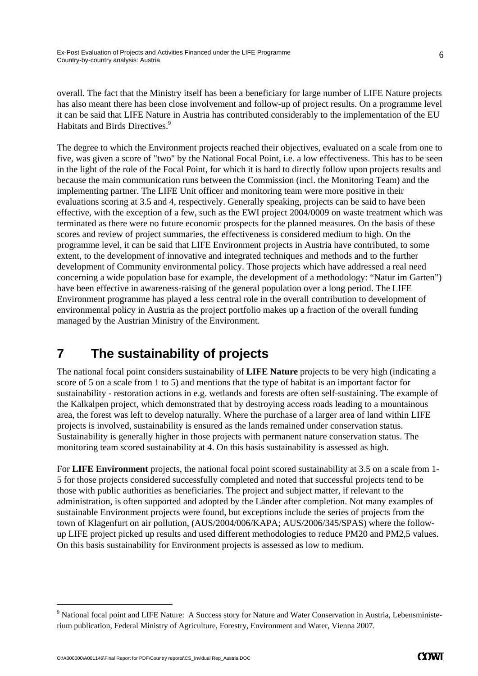overall. The fact that the Ministry itself has been a beneficiary for large number of LIFE Nature projects has also meant there has been close involvement and follow-up of project results. On a programme level it can be said that LIFE Nature in Austria has contributed considerably to the implementation of the EU Habitats and Birds Directives.<sup>9</sup>

The degree to which the Environment projects reached their objectives, evaluated on a scale from one to five, was given a score of "two" by the National Focal Point, i.e. a low effectiveness. This has to be seen in the light of the role of the Focal Point, for which it is hard to directly follow upon projects results and because the main communication runs between the Commission (incl. the Monitoring Team) and the implementing partner. The LIFE Unit officer and monitoring team were more positive in their evaluations scoring at 3.5 and 4, respectively. Generally speaking, projects can be said to have been effective, with the exception of a few, such as the EWI project 2004/0009 on waste treatment which was terminated as there were no future economic prospects for the planned measures. On the basis of these scores and review of project summaries, the effectiveness is considered medium to high. On the programme level, it can be said that LIFE Environment projects in Austria have contributed, to some extent, to the development of innovative and integrated techniques and methods and to the further development of Community environmental policy. Those projects which have addressed a real need concerning a wide population base for example, the development of a methodology: "Natur im Garten") have been effective in awareness-raising of the general population over a long period. The LIFE Environment programme has played a less central role in the overall contribution to development of environmental policy in Austria as the project portfolio makes up a fraction of the overall funding managed by the Austrian Ministry of the Environment.

# **7 The sustainability of projects**

The national focal point considers sustainability of **LIFE Nature** projects to be very high (indicating a score of 5 on a scale from 1 to 5) and mentions that the type of habitat is an important factor for sustainability - restoration actions in e.g. wetlands and forests are often self-sustaining. The example of the Kalkalpen project, which demonstrated that by destroying access roads leading to a mountainous area, the forest was left to develop naturally. Where the purchase of a larger area of land within LIFE projects is involved, sustainability is ensured as the lands remained under conservation status. Sustainability is generally higher in those projects with permanent nature conservation status. The monitoring team scored sustainability at 4. On this basis sustainability is assessed as high.

For **LIFE Environment** projects, the national focal point scored sustainability at 3.5 on a scale from 1- 5 for those projects considered successfully completed and noted that successful projects tend to be those with public authorities as beneficiaries. The project and subject matter, if relevant to the administration, is often supported and adopted by the Länder after completion. Not many examples of sustainable Environment projects were found, but exceptions include the series of projects from the town of Klagenfurt on air pollution, (AUS/2004/006/KAPA; AUS/2006/345/SPAS) where the followup LIFE project picked up results and used different methodologies to reduce PM20 and PM2,5 values. On this basis sustainability for Environment projects is assessed as low to medium.

-

6

<sup>&</sup>lt;sup>9</sup> National focal point and LIFE Nature: A Success story for Nature and Water Conservation in Austria, Lebensministerium publication, Federal Ministry of Agriculture, Forestry, Environment and Water, Vienna 2007.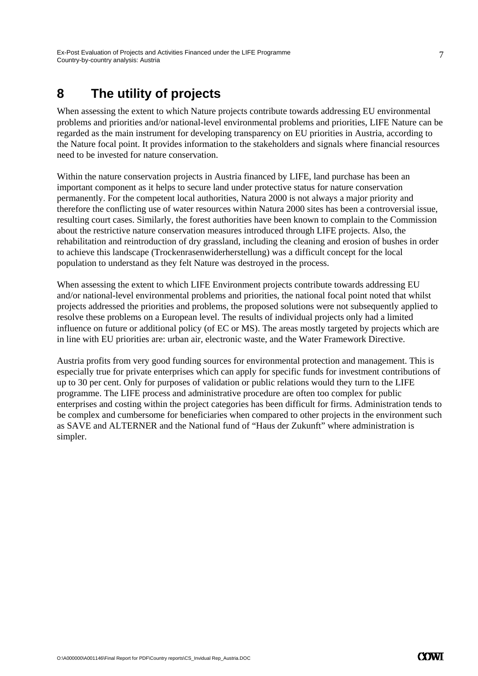# **8 The utility of projects**

When assessing the extent to which Nature projects contribute towards addressing EU environmental problems and priorities and/or national-level environmental problems and priorities, LIFE Nature can be regarded as the main instrument for developing transparency on EU priorities in Austria, according to the Nature focal point. It provides information to the stakeholders and signals where financial resources need to be invested for nature conservation.

Within the nature conservation projects in Austria financed by LIFE, land purchase has been an important component as it helps to secure land under protective status for nature conservation permanently. For the competent local authorities, Natura 2000 is not always a major priority and therefore the conflicting use of water resources within Natura 2000 sites has been a controversial issue, resulting court cases. Similarly, the forest authorities have been known to complain to the Commission about the restrictive nature conservation measures introduced through LIFE projects. Also, the rehabilitation and reintroduction of dry grassland, including the cleaning and erosion of bushes in order to achieve this landscape (Trockenrasenwiderherstellung) was a difficult concept for the local population to understand as they felt Nature was destroyed in the process.

When assessing the extent to which LIFE Environment projects contribute towards addressing EU and/or national-level environmental problems and priorities, the national focal point noted that whilst projects addressed the priorities and problems, the proposed solutions were not subsequently applied to resolve these problems on a European level. The results of individual projects only had a limited influence on future or additional policy (of EC or MS). The areas mostly targeted by projects which are in line with EU priorities are: urban air, electronic waste, and the Water Framework Directive.

Austria profits from very good funding sources for environmental protection and management. This is especially true for private enterprises which can apply for specific funds for investment contributions of up to 30 per cent. Only for purposes of validation or public relations would they turn to the LIFE programme. The LIFE process and administrative procedure are often too complex for public enterprises and costing within the project categories has been difficult for firms. Administration tends to be complex and cumbersome for beneficiaries when compared to other projects in the environment such as SAVE and ALTERNER and the National fund of "Haus der Zukunft" where administration is simpler.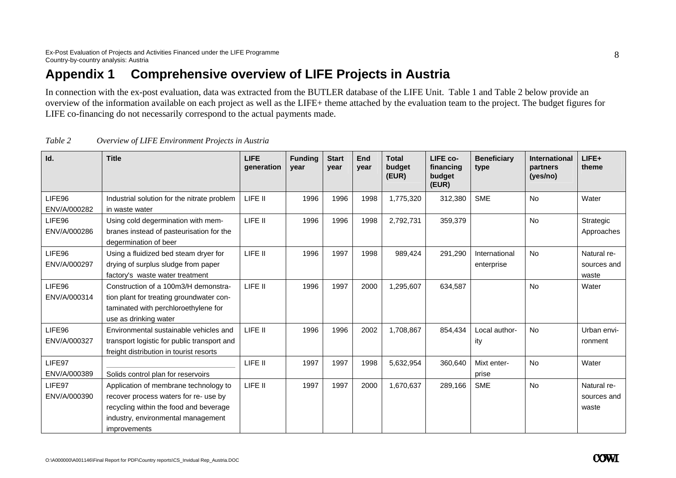# **Appendix 1 Comprehensive overview of LIFE Projects in Austria**

In connection with the ex-post evaluation, data was extracted from the BUTLER database of the LIFE Unit. Table 1 and Table 2 below provide an overview of the information available on each project as well as the LIFE+ theme attached by the evaluation team to the project. The budget figures for LIFE co-financing do not necessarily correspond to the actual payments made.

| Id.                    | <b>Title</b>                                                                                                                                                                   | LIFE<br>qeneration | <b>Funding</b><br>vear | <b>Start</b><br>year | End<br>year | <b>Total</b><br>budget<br>(EUR) | LIFE co-<br>financing<br>budget<br>(EUR) | <b>Beneficiary</b><br>type  | <b>International</b><br>partners<br>(yes/no) | $LIFE+$<br>theme                    |
|------------------------|--------------------------------------------------------------------------------------------------------------------------------------------------------------------------------|--------------------|------------------------|----------------------|-------------|---------------------------------|------------------------------------------|-----------------------------|----------------------------------------------|-------------------------------------|
| LIFE96<br>ENV/A/000282 | Industrial solution for the nitrate problem<br>in waste water                                                                                                                  | LIFE II            | 1996                   | 1996                 | 1998        | 1,775,320                       | 312,380                                  | <b>SME</b>                  | <b>No</b>                                    | Water                               |
| LIFE96<br>ENV/A/000286 | Using cold degermination with mem-<br>branes instead of pasteurisation for the<br>degermination of beer                                                                        | LIFE II            | 1996                   | 1996                 | 1998        | 2,792,731                       | 359,379                                  |                             | <b>No</b>                                    | Strategic<br>Approaches             |
| LIFE96<br>ENV/A/000297 | Using a fluidized bed steam dryer for<br>drying of surplus sludge from paper<br>factory's waste water treatment                                                                | LIFE II            | 1996                   | 1997                 | 1998        | 989,424                         | 291,290                                  | International<br>enterprise | <b>No</b>                                    | Natural re-<br>sources and<br>waste |
| LIFE96<br>ENV/A/000314 | Construction of a 100m3/H demonstra-<br>tion plant for treating groundwater con-<br>taminated with perchloroethylene for<br>use as drinking water                              | LIFE II            | 1996                   | 1997                 | 2000        | 1,295,607                       | 634,587                                  |                             | <b>No</b>                                    | Water                               |
| LIFE96<br>ENV/A/000327 | Environmental sustainable vehicles and<br>transport logistic for public transport and<br>freight distribution in tourist resorts                                               | LIFE II            | 1996                   | 1996                 | 2002        | 1,708,867                       | 854,434                                  | Local author-<br>ity        | <b>No</b>                                    | Urban envi-<br>ronment              |
| LIFE97<br>ENV/A/000389 | Solids control plan for reservoirs                                                                                                                                             | LIFE II            | 1997                   | 1997                 | 1998        | 5,632,954                       | 360,640                                  | Mixt enter-<br>prise        | <b>No</b>                                    | Water                               |
| LIFE97<br>ENV/A/000390 | Application of membrane technology to<br>recover process waters for re- use by<br>recycling within the food and beverage<br>industry, environmental management<br>improvements | LIFE II            | 1997                   | 1997                 | 2000        | 1,670,637                       | 289,166                                  | <b>SME</b>                  | <b>No</b>                                    | Natural re-<br>sources and<br>waste |

*Table 2 Overview of LIFE Environment Projects in Austria* 

8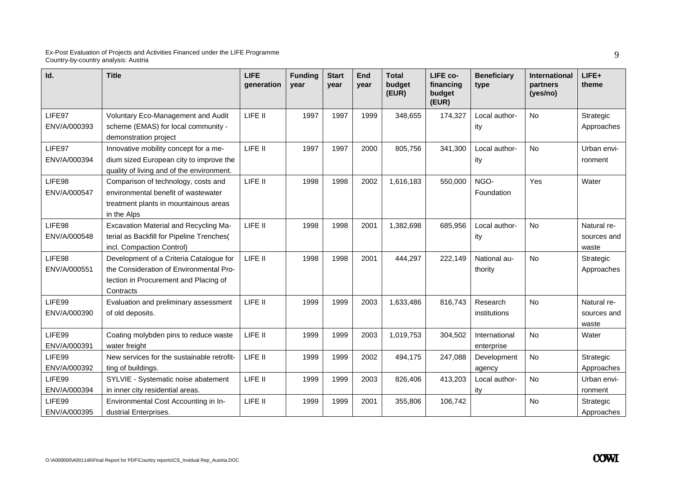| Id.          | <b>Title</b>                                                 | <b>LIFE</b><br>generation | <b>Funding</b><br>year | <b>Start</b><br>year | End<br>year | <b>Total</b><br>budget<br>(EUR) | LIFE co-<br>financing<br>budget<br>(EUR) | <b>Beneficiary</b><br>type | <b>International</b><br>partners<br>(yes/no) | LIFE+<br>theme |
|--------------|--------------------------------------------------------------|---------------------------|------------------------|----------------------|-------------|---------------------------------|------------------------------------------|----------------------------|----------------------------------------------|----------------|
| LIFE97       | Voluntary Eco-Management and Audit                           | LIFE II                   | 1997                   | 1997                 | 1999        | 348,655                         | 174,327                                  | Local author-              | No                                           | Strategic      |
| ENV/A/000393 | scheme (EMAS) for local community -<br>demonstration project |                           |                        |                      |             |                                 |                                          | ity                        |                                              | Approaches     |
| LIFE97       | Innovative mobility concept for a me-                        | LIFE II                   | 1997                   | 1997                 | 2000        | 805,756                         | 341,300                                  | Local author-              | No                                           | Urban envi-    |
| ENV/A/000394 | dium sized European city to improve the                      |                           |                        |                      |             |                                 |                                          | ity                        |                                              | ronment        |
|              | quality of living and of the environment.                    |                           |                        |                      |             |                                 |                                          |                            |                                              |                |
| LIFE98       | Comparison of technology, costs and                          | LIFE II                   | 1998                   | 1998                 | 2002        | 1,616,183                       | 550,000                                  | NGO-                       | Yes                                          | Water          |
| ENV/A/000547 | environmental benefit of wastewater                          |                           |                        |                      |             |                                 |                                          | Foundation                 |                                              |                |
|              | treatment plants in mountainous areas<br>in the Alps         |                           |                        |                      |             |                                 |                                          |                            |                                              |                |
| LIFE98       | Excavation Material and Recycling Ma-                        | LIFE II                   | 1998                   | 1998                 | 2001        | 1,382,698                       | 685,956                                  | Local author-              | <b>No</b>                                    | Natural re-    |
| ENV/A/000548 | terial as Backfill for Pipeline Trenches(                    |                           |                        |                      |             |                                 |                                          | ity                        |                                              | sources and    |
|              | incl. Compaction Control)                                    |                           |                        |                      |             |                                 |                                          |                            |                                              | waste          |
| LIFE98       | Development of a Criteria Catalogue for                      | LIFE II                   | 1998                   | 1998                 | 2001        | 444,297                         | 222,149                                  | National au-               | <b>No</b>                                    | Strategic      |
| ENV/A/000551 | the Consideration of Environmental Pro-                      |                           |                        |                      |             |                                 |                                          | thority                    |                                              | Approaches     |
|              | tection in Procurement and Placing of<br>Contracts           |                           |                        |                      |             |                                 |                                          |                            |                                              |                |
| LIFE99       | Evaluation and preliminary assessment                        | LIFE II                   | 1999                   | 1999                 | 2003        | 1,633,486                       | 816,743                                  | Research                   | <b>No</b>                                    | Natural re-    |
| ENV/A/000390 | of old deposits.                                             |                           |                        |                      |             |                                 |                                          | institutions               |                                              | sources and    |
|              |                                                              |                           |                        |                      |             |                                 |                                          |                            |                                              | waste          |
| LIFE99       | Coating molybden pins to reduce waste                        | LIFE II                   | 1999                   | 1999                 | 2003        | 1,019,753                       | 304,502                                  | International              | <b>No</b>                                    | Water          |
| ENV/A/000391 | water freight                                                |                           |                        |                      |             |                                 |                                          | enterprise                 |                                              |                |
| LIFE99       | New services for the sustainable retrofit-                   | LIFE II                   | 1999                   | 1999                 | 2002        | 494,175                         | 247,088                                  | Development                | No                                           | Strategic      |
| ENV/A/000392 | ting of buildings.                                           |                           |                        |                      |             |                                 |                                          | agency                     |                                              | Approaches     |
| LIFE99       | SYLVIE - Systematic noise abatement                          | LIFE II                   | 1999                   | 1999                 | 2003        | 826,406                         | 413,203                                  | Local author-              | <b>No</b>                                    | Urban envi-    |
| ENV/A/000394 | in inner city residential areas.                             |                           |                        |                      |             |                                 |                                          | ity                        |                                              | ronment        |
| LIFE99       | Environmental Cost Accounting in In-                         | LIFE II                   | 1999                   | 1999                 | 2001        | 355,806                         | 106,742                                  |                            | <b>No</b>                                    | Strategic      |
| ENV/A/000395 | dustrial Enterprises.                                        |                           |                        |                      |             |                                 |                                          |                            |                                              | Approaches     |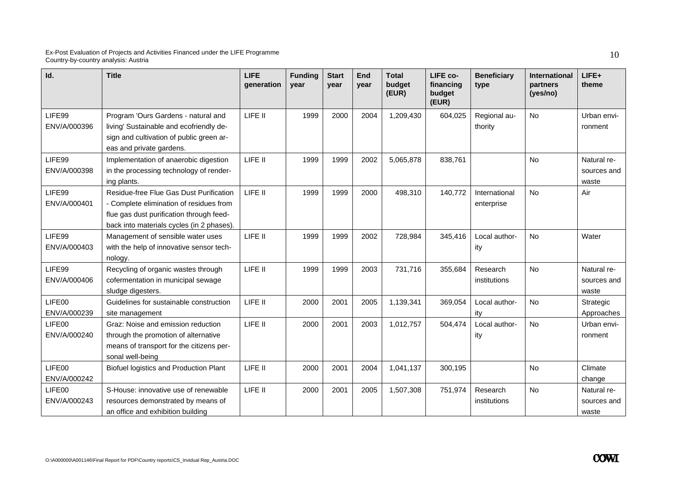| Id.                    | <b>Title</b>                                                                     | <b>LIFE</b><br>qeneration | <b>Funding</b><br>year | <b>Start</b><br>vear | End<br>vear | <b>Total</b><br>budget<br>(EUR) | LIFE co-<br>financing<br>budget<br>(EUR) | <b>Beneficiary</b><br>type | <b>International</b><br>partners<br>(yes/no) | LIFE+<br>theme             |
|------------------------|----------------------------------------------------------------------------------|---------------------------|------------------------|----------------------|-------------|---------------------------------|------------------------------------------|----------------------------|----------------------------------------------|----------------------------|
| LIFE99                 | Program 'Ours Gardens - natural and                                              | LIFE II                   | 1999                   | 2000                 | 2004        | 1,209,430                       | 604,025                                  | Regional au-               | No                                           | Urban envi-                |
| ENV/A/000396           | living' Sustainable and ecofriendly de-                                          |                           |                        |                      |             |                                 |                                          | thority                    |                                              | ronment                    |
|                        | sign and cultivation of public green ar-                                         |                           |                        |                      |             |                                 |                                          |                            |                                              |                            |
|                        | eas and private gardens.                                                         |                           |                        |                      |             |                                 |                                          |                            |                                              |                            |
| LIFE99<br>ENV/A/000398 | Implementation of anaerobic digestion<br>in the processing technology of render- | LIFE II                   | 1999                   | 1999                 | 2002        | 5,065,878                       | 838,761                                  |                            | <b>No</b>                                    | Natural re-<br>sources and |
|                        | ing plants.                                                                      |                           |                        |                      |             |                                 |                                          |                            |                                              | waste                      |
| LIFE99                 | Residue-free Flue Gas Dust Purification                                          | LIFE II                   | 1999                   | 1999                 | 2000        | 498,310                         | 140,772                                  | International              | <b>No</b>                                    | Air                        |
| ENV/A/000401           | - Complete elimination of residues from                                          |                           |                        |                      |             |                                 |                                          | enterprise                 |                                              |                            |
|                        | flue gas dust purification through feed-                                         |                           |                        |                      |             |                                 |                                          |                            |                                              |                            |
|                        | back into materials cycles (in 2 phases).                                        |                           |                        |                      |             |                                 |                                          |                            |                                              |                            |
| LIFE99                 | Management of sensible water uses                                                | LIFE II                   | 1999                   | 1999                 | 2002        | 728,984                         | 345,416                                  | Local author-              | <b>No</b>                                    | Water                      |
| ENV/A/000403           | with the help of innovative sensor tech-                                         |                           |                        |                      |             |                                 |                                          | ity                        |                                              |                            |
|                        | nology.                                                                          |                           |                        |                      |             |                                 |                                          |                            |                                              |                            |
| LIFE99                 | Recycling of organic wastes through                                              | LIFE II                   | 1999                   | 1999                 | 2003        | 731,716                         | 355,684                                  | Research                   | No                                           | Natural re-                |
| ENV/A/000406           | cofermentation in municipal sewage                                               |                           |                        |                      |             |                                 |                                          | institutions               |                                              | sources and                |
|                        | sludge digesters.                                                                |                           |                        |                      |             |                                 |                                          |                            |                                              | waste                      |
| LIFE00                 | Guidelines for sustainable construction                                          | LIFE II                   | 2000                   | 2001                 | 2005        | 1,139,341                       | 369,054                                  | Local author-              | No                                           | Strategic                  |
| ENV/A/000239           | site management                                                                  |                           |                        |                      |             |                                 |                                          | itv                        |                                              | Approaches                 |
| LIFE00<br>ENV/A/000240 | Graz: Noise and emission reduction                                               | LIFE II                   | 2000                   | 2001                 | 2003        | 1,012,757                       | 504,474                                  | Local author-              | <b>No</b>                                    | Urban envi-                |
|                        | through the promotion of alternative<br>means of transport for the citizens per- |                           |                        |                      |             |                                 |                                          | ity                        |                                              | ronment                    |
|                        | sonal well-being                                                                 |                           |                        |                      |             |                                 |                                          |                            |                                              |                            |
| LIFE00                 | Biofuel logistics and Production Plant                                           | LIFE II                   | 2000                   | 2001                 | 2004        | 1,041,137                       | 300,195                                  |                            | No                                           | Climate                    |
| ENV/A/000242           |                                                                                  |                           |                        |                      |             |                                 |                                          |                            |                                              | change                     |
| LIFE00                 | S-House: innovative use of renewable                                             | LIFE II                   | 2000                   | 2001                 | 2005        | 1,507,308                       | 751,974                                  | Research                   | <b>No</b>                                    | Natural re-                |
| ENV/A/000243           | resources demonstrated by means of                                               |                           |                        |                      |             |                                 |                                          | institutions               |                                              | sources and                |
|                        | an office and exhibition building                                                |                           |                        |                      |             |                                 |                                          |                            |                                              | waste                      |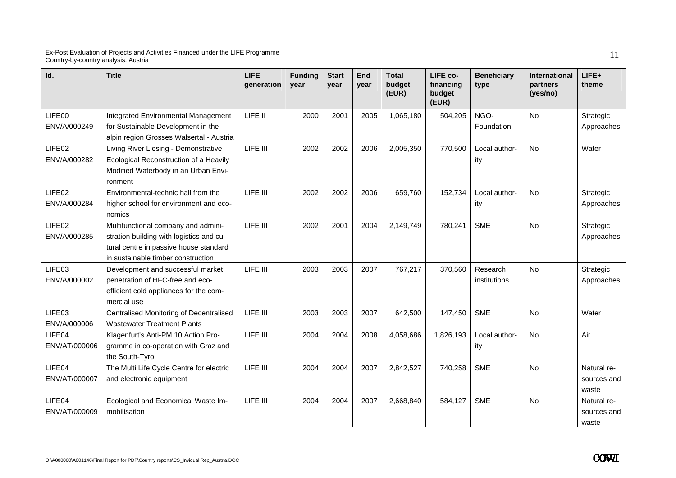| Id.                     | <b>Title</b>                                                                                                                                                     | <b>LIFE</b><br>generation | <b>Funding</b><br>vear | <b>Start</b><br>year | End<br>vear | <b>Total</b><br>budget<br>(EUR) | LIFE co-<br>financing<br>budget<br>(EUR) | <b>Beneficiary</b><br>type | <b>International</b><br>partners<br>(yes/no) | $LIFE+$<br>theme                    |
|-------------------------|------------------------------------------------------------------------------------------------------------------------------------------------------------------|---------------------------|------------------------|----------------------|-------------|---------------------------------|------------------------------------------|----------------------------|----------------------------------------------|-------------------------------------|
| LIFE00<br>ENV/A/000249  | <b>Integrated Environmental Management</b><br>for Sustainable Development in the<br>alpin region Grosses Walsertal - Austria                                     | LIFE II                   | 2000                   | 2001                 | 2005        | 1,065,180                       | 504,205                                  | NGO-<br>Foundation         | <b>No</b>                                    | Strategic<br>Approaches             |
| LIFE02<br>ENV/A/000282  | Living River Liesing - Demonstrative<br>Ecological Reconstruction of a Heavily<br>Modified Waterbody in an Urban Envi-<br>ronment                                | LIFE III                  | 2002                   | 2002                 | 2006        | 2,005,350                       | 770,500                                  | Local author-<br>ity       | <b>No</b>                                    | Water                               |
| LIFE02<br>ENV/A/000284  | Environmental-technic hall from the<br>higher school for environment and eco-<br>nomics                                                                          | LIFE III                  | 2002                   | 2002                 | 2006        | 659,760                         | 152,734                                  | Local author-<br>ity       | <b>No</b>                                    | Strategic<br>Approaches             |
| LIFE02<br>ENV/A/000285  | Multifunctional company and admini-<br>stration building with logistics and cul-<br>tural centre in passive house standard<br>in sustainable timber construction | LIFE III                  | 2002                   | 2001                 | 2004        | 2,149,749                       | 780,241                                  | <b>SME</b>                 | <b>No</b>                                    | Strategic<br>Approaches             |
| LIFE03<br>ENV/A/000002  | Development and successful market<br>penetration of HFC-free and eco-<br>efficient cold appliances for the com-<br>mercial use                                   | LIFE III                  | 2003                   | 2003                 | 2007        | 767,217                         | 370,560                                  | Research<br>institutions   | <b>No</b>                                    | Strategic<br>Approaches             |
| LIFE03<br>ENV/A/000006  | Centralised Monitoring of Decentralised<br><b>Wastewater Treatment Plants</b>                                                                                    | LIFE III                  | 2003                   | 2003                 | 2007        | 642,500                         | 147,450                                  | <b>SME</b>                 | <b>No</b>                                    | Water                               |
| LIFE04<br>ENV/AT/000006 | Klagenfurt's Anti-PM 10 Action Pro-<br>gramme in co-operation with Graz and<br>the South-Tyrol                                                                   | LIFE III                  | 2004                   | 2004                 | 2008        | 4,058,686                       | 1,826,193                                | Local author-<br>ity       | <b>No</b>                                    | Air                                 |
| LIFE04<br>ENV/AT/000007 | The Multi Life Cycle Centre for electric<br>and electronic equipment                                                                                             | LIFE III                  | 2004                   | 2004                 | 2007        | 2,842,527                       | 740,258                                  | <b>SME</b>                 | No                                           | Natural re-<br>sources and<br>waste |
| LIFE04<br>ENV/AT/000009 | Ecological and Economical Waste Im-<br>mobilisation                                                                                                              | LIFE III                  | 2004                   | 2004                 | 2007        | 2,668,840                       | 584,127                                  | <b>SME</b>                 | No                                           | Natural re-<br>sources and<br>waste |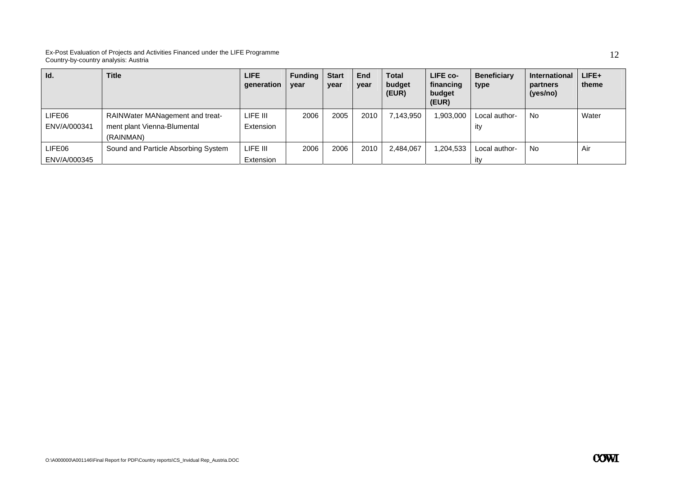| Id.          | <b>Title</b>                        | <b>LIFE</b><br>qeneration | <b>Funding</b><br>year | <b>Start</b><br>year | End<br>year | <b>Total</b><br>budget<br>(EUR) | LIFE co-<br>financing<br>budget<br>(EUR) | <b>Beneficiary</b><br>type | <b>International</b><br>partners<br>(yes/no) | $LIFE+$<br>theme |
|--------------|-------------------------------------|---------------------------|------------------------|----------------------|-------------|---------------------------------|------------------------------------------|----------------------------|----------------------------------------------|------------------|
| LIFE06       | RAINWater MANagement and treat-     | LIFE III                  | 2006                   | 2005                 | 2010        | 7.143.950                       | ,903,000                                 | Local author-              | <b>No</b>                                    | Water            |
| ENV/A/000341 | ment plant Vienna-Blumental         | Extension                 |                        |                      |             |                                 |                                          | ity                        |                                              |                  |
|              | (RAINMAN)                           |                           |                        |                      |             |                                 |                                          |                            |                                              |                  |
| LIFE06       | Sound and Particle Absorbing System | LIFE III                  | 2006                   | 2006                 | 2010        | 2,484,067                       | ,204,533                                 | Local author-              | No                                           | Air              |
| ENV/A/000345 |                                     | Extension                 |                        |                      |             |                                 |                                          | ity                        |                                              |                  |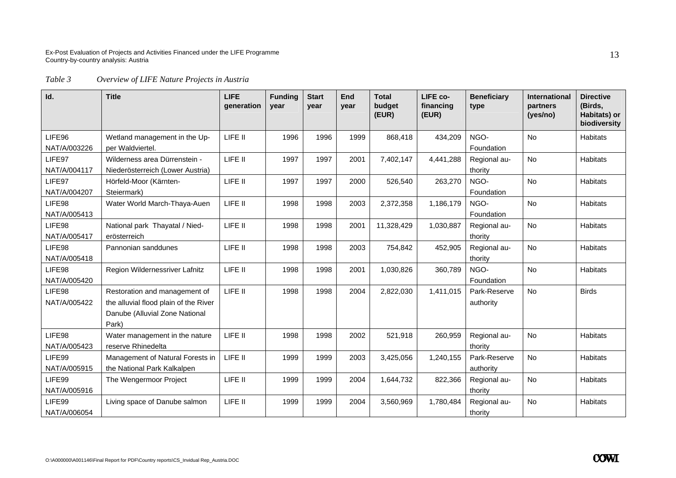#### *Table 3 Overview of LIFE Nature Projects in Austria*

| Id.          | <b>Title</b>                          | <b>LIFE</b><br>generation | <b>Funding</b><br>year | <b>Start</b><br>year | End<br>year | <b>Total</b><br>budget<br>(EUR) | LIFE co-<br>financing<br>(EUR) | <b>Beneficiary</b><br>type | <b>International</b><br>partners<br>(yes/no) | <b>Directive</b><br>(Birds,<br>Habitats) or<br>biodiversity |
|--------------|---------------------------------------|---------------------------|------------------------|----------------------|-------------|---------------------------------|--------------------------------|----------------------------|----------------------------------------------|-------------------------------------------------------------|
| LIFE96       | Wetland management in the Up-         | LIFE II                   | 1996                   | 1996                 | 1999        | 868,418                         | 434,209                        | NGO-                       | <b>No</b>                                    | <b>Habitats</b>                                             |
| NAT/A/003226 | per Waldviertel.                      |                           |                        |                      |             |                                 |                                | Foundation                 |                                              |                                                             |
| LIFE97       | Wilderness area Dürrenstein -         | LIFE II                   | 1997                   | 1997                 | 2001        | 7,402,147                       | 4,441,288                      | Regional au-               | <b>No</b>                                    | <b>Habitats</b>                                             |
| NAT/A/004117 | Niederösterreich (Lower Austria)      |                           |                        |                      |             |                                 |                                | thority                    |                                              |                                                             |
| LIFE97       | Hörfeld-Moor (Kärnten-                | LIFE II                   | 1997                   | 1997                 | 2000        | 526,540                         | 263,270                        | NGO-                       | <b>No</b>                                    | <b>Habitats</b>                                             |
| NAT/A/004207 | Steiermark)                           |                           |                        |                      |             |                                 |                                | Foundation                 |                                              |                                                             |
| LIFE98       | Water World March-Thaya-Auen          | LIFE II                   | 1998                   | 1998                 | 2003        | 2,372,358                       | 1,186,179                      | NGO-                       | <b>No</b>                                    | <b>Habitats</b>                                             |
| NAT/A/005413 |                                       |                           |                        |                      |             |                                 |                                | Foundation                 |                                              |                                                             |
| LIFE98       | National park Thayatal / Nied-        | LIFE II                   | 1998                   | 1998                 | 2001        | 11,328,429                      | 1,030,887                      | Regional au-               | No                                           | <b>Habitats</b>                                             |
| NAT/A/005417 | erösterreich                          |                           |                        |                      |             |                                 |                                | thority                    |                                              |                                                             |
| LIFE98       | Pannonian sanddunes                   | LIFE II                   | 1998                   | 1998                 | 2003        | 754,842                         | 452,905                        | Regional au-               | <b>No</b>                                    | <b>Habitats</b>                                             |
| NAT/A/005418 |                                       |                           |                        |                      |             |                                 |                                | thority                    |                                              |                                                             |
| LIFE98       | Region Wildernessriver Lafnitz        | LIFE II                   | 1998                   | 1998                 | 2001        | 1,030,826                       | 360,789                        | NGO-                       | <b>No</b>                                    | <b>Habitats</b>                                             |
| NAT/A/005420 |                                       |                           |                        |                      |             |                                 |                                | Foundation                 |                                              |                                                             |
| LIFE98       | Restoration and management of         | LIFE II                   | 1998                   | 1998                 | 2004        | 2,822,030                       | 1,411,015                      | Park-Reserve               | <b>No</b>                                    | <b>Birds</b>                                                |
| NAT/A/005422 | the alluvial flood plain of the River |                           |                        |                      |             |                                 |                                | authority                  |                                              |                                                             |
|              | Danube (Alluvial Zone National        |                           |                        |                      |             |                                 |                                |                            |                                              |                                                             |
|              | Park)                                 |                           |                        |                      |             |                                 |                                |                            |                                              |                                                             |
| LIFE98       | Water management in the nature        | LIFE II                   | 1998                   | 1998                 | 2002        | 521,918                         | 260,959                        | Regional au-               | <b>No</b>                                    | <b>Habitats</b>                                             |
| NAT/A/005423 | reserve Rhinedelta                    |                           |                        |                      |             |                                 |                                | thority                    |                                              |                                                             |
| LIFE99       | Management of Natural Forests in      | LIFE II                   | 1999                   | 1999                 | 2003        | 3,425,056                       | 1,240,155                      | Park-Reserve               | <b>No</b>                                    | <b>Habitats</b>                                             |
| NAT/A/005915 | the National Park Kalkalpen           |                           |                        |                      |             |                                 |                                | authority                  |                                              |                                                             |
| LIFE99       | The Wengermoor Project                | LIFE II                   | 1999                   | 1999                 | 2004        | 1,644,732                       | 822,366                        | Regional au-               | <b>No</b>                                    | <b>Habitats</b>                                             |
| NAT/A/005916 |                                       |                           |                        |                      |             |                                 |                                | thority                    |                                              |                                                             |
| LIFE99       | Living space of Danube salmon         | LIFE II                   | 1999                   | 1999                 | 2004        | 3,560,969                       | 1,780,484                      | Regional au-               | No                                           | <b>Habitats</b>                                             |
| NAT/A/006054 |                                       |                           |                        |                      |             |                                 |                                | thority                    |                                              |                                                             |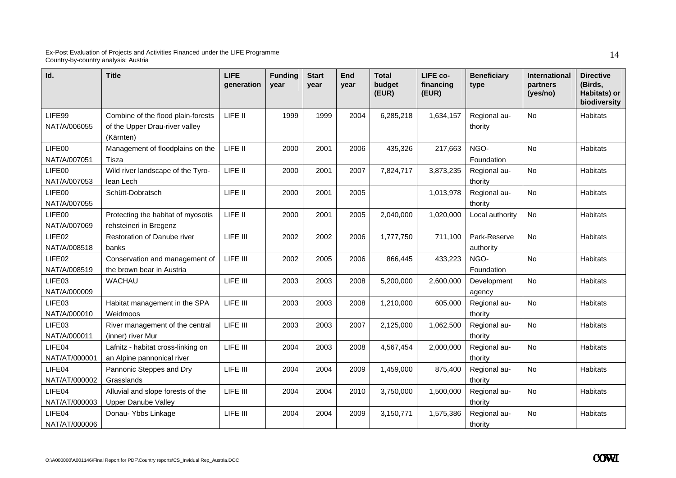| Id.                     | <b>Title</b>                                                                      | <b>LIFE</b><br>generation | <b>Funding</b><br>year | <b>Start</b><br>year | End<br>vear | <b>Total</b><br>budget<br>(EUR) | LIFE co-<br>financing<br>(EUR) | <b>Beneficiary</b><br>type | International<br>partners<br>(yes/no) | <b>Directive</b><br>(Birds,<br>Habitats) or<br>biodiversity |
|-------------------------|-----------------------------------------------------------------------------------|---------------------------|------------------------|----------------------|-------------|---------------------------------|--------------------------------|----------------------------|---------------------------------------|-------------------------------------------------------------|
| LIFE99<br>NAT/A/006055  | Combine of the flood plain-forests<br>of the Upper Drau-river valley<br>(Kärnten) | LIFE II                   | 1999                   | 1999                 | 2004        | 6,285,218                       | 1,634,157                      | Regional au-<br>thority    | <b>No</b>                             | <b>Habitats</b>                                             |
| LIFE00<br>NAT/A/007051  | Management of floodplains on the<br>Tisza                                         | LIFE II                   | 2000                   | 2001                 | 2006        | 435,326                         | 217,663                        | NGO-<br>Foundation         | <b>No</b>                             | <b>Habitats</b>                                             |
| LIFE00<br>NAT/A/007053  | Wild river landscape of the Tyro-<br>lean Lech                                    | LIFE II                   | 2000                   | 2001                 | 2007        | 7,824,717                       | 3,873,235                      | Regional au-<br>thority    | <b>No</b>                             | Habitats                                                    |
| LIFE00<br>NAT/A/007055  | Schütt-Dobratsch                                                                  | LIFE II                   | 2000                   | 2001                 | 2005        |                                 | 1,013,978                      | Regional au-<br>thority    | No                                    | Habitats                                                    |
| LIFE00<br>NAT/A/007069  | Protecting the habitat of myosotis<br>rehsteineri in Bregenz                      | LIFE II                   | 2000                   | 2001                 | 2005        | 2,040,000                       | 1,020,000                      | Local authority            | No                                    | <b>Habitats</b>                                             |
| LIFE02<br>NAT/A/008518  | <b>Restoration of Danube river</b><br>banks                                       | LIFE III                  | 2002                   | 2002                 | 2006        | 1,777,750                       | 711,100                        | Park-Reserve<br>authority  | <b>No</b>                             | <b>Habitats</b>                                             |
| LIFE02<br>NAT/A/008519  | Conservation and management of<br>the brown bear in Austria                       | LIFE III                  | 2002                   | 2005                 | 2006        | 866,445                         | 433,223                        | NGO-<br>Foundation         | No                                    | <b>Habitats</b>                                             |
| LIFE03<br>NAT/A/000009  | <b>WACHAU</b>                                                                     | LIFE III                  | 2003                   | 2003                 | 2008        | 5,200,000                       | 2,600,000                      | Development<br>agency      | No                                    | Habitats                                                    |
| LIFE03<br>NAT/A/000010  | Habitat management in the SPA<br>Weidmoos                                         | LIFE III                  | 2003                   | 2003                 | 2008        | 1,210,000                       | 605,000                        | Regional au-<br>thority    | No                                    | <b>Habitats</b>                                             |
| LIFE03<br>NAT/A/000011  | River management of the central<br>(inner) river Mur                              | LIFE III                  | 2003                   | 2003                 | 2007        | 2,125,000                       | 1,062,500                      | Regional au-<br>thority    | <b>No</b>                             | <b>Habitats</b>                                             |
| LIFE04<br>NAT/AT/000001 | Lafnitz - habitat cross-linking on<br>an Alpine pannonical river                  | LIFE III                  | 2004                   | 2003                 | 2008        | 4,567,454                       | 2,000,000                      | Regional au-<br>thority    | No                                    | <b>Habitats</b>                                             |
| LIFE04<br>NAT/AT/000002 | Pannonic Steppes and Dry<br>Grasslands                                            | LIFE III                  | 2004                   | 2004                 | 2009        | 1,459,000                       | 875,400                        | Regional au-<br>thority    | No                                    | <b>Habitats</b>                                             |
| LIFE04<br>NAT/AT/000003 | Alluvial and slope forests of the<br><b>Upper Danube Valley</b>                   | LIFE III                  | 2004                   | 2004                 | 2010        | 3,750,000                       | 1,500,000                      | Regional au-<br>thority    | No                                    | Habitats                                                    |
| LIFE04<br>NAT/AT/000006 | Donau- Ybbs Linkage                                                               | LIFE III                  | 2004                   | 2004                 | 2009        | 3,150,771                       | 1,575,386                      | Regional au-<br>thority    | No                                    | <b>Habitats</b>                                             |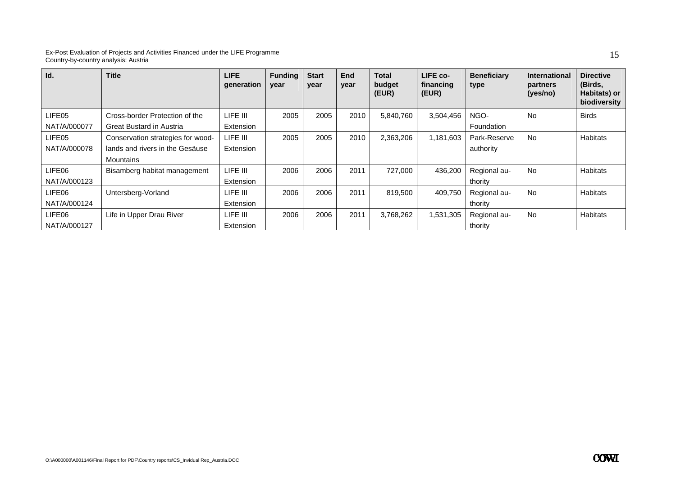| Id.          | <b>Title</b>                      | <b>LIFE</b><br>generation | <b>Funding</b><br>year | <b>Start</b><br>year | <b>End</b><br>year | <b>Total</b><br>budget<br>(EUR) | LIFE co-<br>financing<br>(EUR) | <b>Beneficiary</b><br>type | <b>International</b><br>partners<br>(yes/no) | <b>Directive</b><br>(Birds,<br>Habitats) or<br>biodiversity |
|--------------|-----------------------------------|---------------------------|------------------------|----------------------|--------------------|---------------------------------|--------------------------------|----------------------------|----------------------------------------------|-------------------------------------------------------------|
| LIFE05       | Cross-border Protection of the    | LIFE III                  | 2005                   | 2005                 | 2010               | 5,840,760                       | 3,504,456                      | NGO-                       | <b>No</b>                                    | <b>Birds</b>                                                |
| NAT/A/000077 | Great Bustard in Austria          | Extension                 |                        |                      |                    |                                 |                                | Foundation                 |                                              |                                                             |
| LIFE05       | Conservation strategies for wood- | LIFE III                  | 2005                   | 2005                 | 2010               | 2,363,206                       | 1,181,603                      | Park-Reserve               | <b>No</b>                                    | <b>Habitats</b>                                             |
| NAT/A/000078 | lands and rivers in the Gesäuse   | Extension                 |                        |                      |                    |                                 |                                | authority                  |                                              |                                                             |
|              | Mountains                         |                           |                        |                      |                    |                                 |                                |                            |                                              |                                                             |
| LIFE06       | Bisamberg habitat management      | LIFE III                  | 2006                   | 2006                 | 2011               | 727,000                         | 436,200                        | Regional au-               | <b>No</b>                                    | <b>Habitats</b>                                             |
| NAT/A/000123 |                                   | Extension                 |                        |                      |                    |                                 |                                | thority                    |                                              |                                                             |
| LIFE06       | Untersberg-Vorland                | LIFE III                  | 2006                   | 2006                 | 2011               | 819,500                         | 409,750                        | Regional au-               | <b>No</b>                                    | Habitats                                                    |
| NAT/A/000124 |                                   | Extension                 |                        |                      |                    |                                 |                                | thority                    |                                              |                                                             |
| LIFE06       | Life in Upper Drau River          | LIFE III                  | 2006                   | 2006                 | 2011               | 3,768,262                       | 1,531,305                      | Regional au-               | <b>No</b>                                    | <b>Habitats</b>                                             |
| NAT/A/000127 |                                   | Extension                 |                        |                      |                    |                                 |                                | thority                    |                                              |                                                             |

15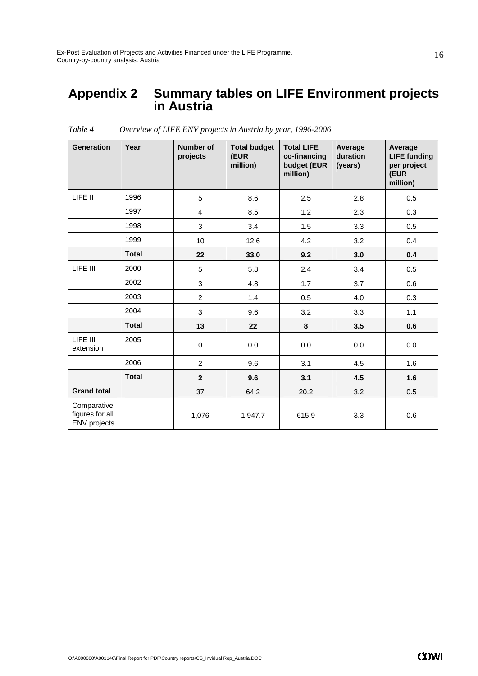### **Appendix 2 Summary tables on LIFE Environment projects in Austria**

| <b>Generation</b>                                     | Year         | Number of<br>projects | <b>Total budget</b><br>(EUR<br>million) | <b>Total LIFE</b><br>co-financing<br>budget (EUR<br>million) | Average<br>duration<br>(years) | Average<br><b>LIFE funding</b><br>per project<br>(EUR<br>million) |
|-------------------------------------------------------|--------------|-----------------------|-----------------------------------------|--------------------------------------------------------------|--------------------------------|-------------------------------------------------------------------|
| LIFE II                                               | 1996         | 5                     | 8.6                                     | 2.5                                                          | 2.8                            | 0.5                                                               |
|                                                       | 1997         | 4                     | 8.5                                     | 1.2                                                          | 2.3                            | 0.3                                                               |
|                                                       | 1998         | 3                     | 3.4                                     | 1.5                                                          | 3.3                            | 0.5                                                               |
|                                                       | 1999         | 10                    | 12.6                                    | 4.2                                                          | 3.2                            | 0.4                                                               |
|                                                       | <b>Total</b> | 22                    | 33.0                                    | 9.2                                                          | 3.0                            | 0.4                                                               |
| LIFE III                                              | 2000         | 5                     | 5.8                                     | 2.4                                                          | 3.4                            | 0.5                                                               |
|                                                       | 2002         | 3                     | 4.8                                     | 1.7                                                          | 3.7                            | 0.6                                                               |
|                                                       | 2003         | $\overline{c}$        | 1.4                                     | 0.5                                                          | 4.0                            | 0.3                                                               |
|                                                       | 2004         | 3                     | 9.6                                     | 3.2                                                          | 3.3                            | $1.1$                                                             |
|                                                       | <b>Total</b> | 13                    | 22                                      | 8                                                            | 3.5                            | 0.6                                                               |
| LIFE III<br>extension                                 | 2005         | 0                     | 0.0                                     | 0.0                                                          | 0.0                            | 0.0                                                               |
|                                                       | 2006         | $\overline{2}$        | 9.6                                     | 3.1                                                          | 4.5                            | 1.6                                                               |
|                                                       | <b>Total</b> | $\mathbf{2}$          | 9.6                                     | 3.1                                                          | 4.5                            | 1.6                                                               |
| <b>Grand total</b>                                    |              | 37                    | 64.2                                    | 20.2                                                         | 3.2                            | 0.5                                                               |
| Comparative<br>figures for all<br><b>ENV</b> projects |              | 1,076                 | 1,947.7                                 | 615.9                                                        | 3.3                            | 0.6                                                               |

*Table 4 Overview of LIFE ENV projects in Austria by year, 1996-2006*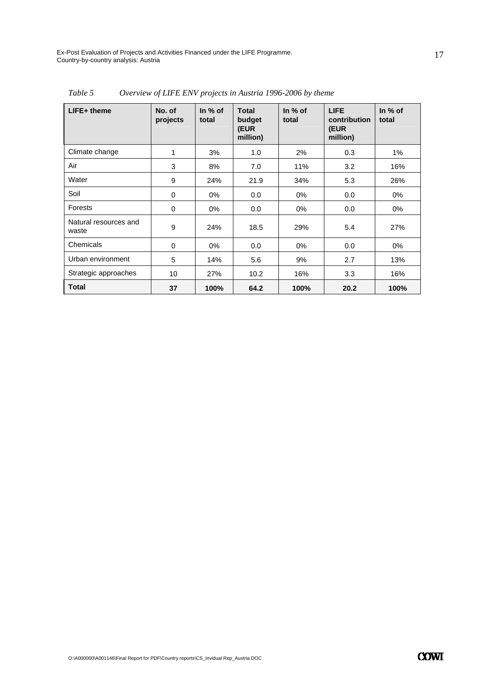| LIFE+ theme                    | No. of<br>projects | In $%$ of<br>total | <b>Total</b><br>budget<br>(EUR<br>million) | In $%$ of<br>total | <b>LIFE</b><br>contribution<br>(EUR<br>million) | In % of<br>total |
|--------------------------------|--------------------|--------------------|--------------------------------------------|--------------------|-------------------------------------------------|------------------|
| Climate change                 | 1                  | 3%                 | 1.0                                        | 2%                 | 0.3                                             | 1%               |
| Air                            | 3                  | 8%                 | 7.0                                        | 11%                | 3.2                                             | 16%              |
| Water                          | 9                  | 24%                | 21.9                                       | 34%                | 5.3                                             | 26%              |
| Soil                           | 0                  | $0\%$              | 0.0                                        | $0\%$              | 0.0                                             | $0\%$            |
| Forests                        | 0                  | $0\%$              | 0.0                                        | $0\%$              | 0.0                                             | 0%               |
| Natural resources and<br>waste | 9                  | 24%                | 18.5                                       | 29%                | 5.4                                             | 27%              |
| Chemicals                      | $\mathbf 0$        | $0\%$              | 0.0                                        | $0\%$              | 0.0                                             | 0%               |
| Urban environment              | 5                  | 14%                | 5.6                                        | 9%                 | 2.7                                             | 13%              |
| Strategic approaches           | 10                 | 27%                | 10.2                                       | 16%                | 3.3                                             | 16%              |
| <b>Total</b>                   | 37                 | 100%               | 64.2                                       | 100%               | 20.2                                            | 100%             |

*Table 5 Overview of LIFE ENV projects in Austria 1996-2006 by theme*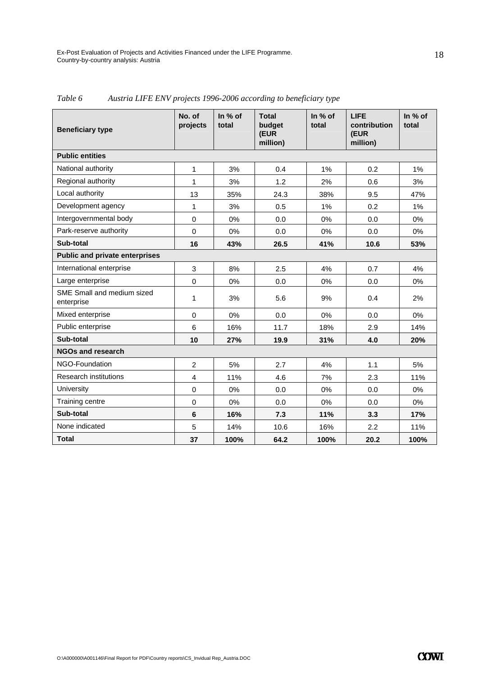| <b>Beneficiary type</b>                  | No. of<br>projects | In % of<br>total | <b>Total</b><br>budget<br>(EUR<br>million) | In % of<br>total | <b>LIFE</b><br>contribution<br>(EUR<br>million) | In % of<br>total |  |  |
|------------------------------------------|--------------------|------------------|--------------------------------------------|------------------|-------------------------------------------------|------------------|--|--|
| <b>Public entities</b>                   |                    |                  |                                            |                  |                                                 |                  |  |  |
| National authority                       | 1                  | 3%               | 0.4                                        | 1%               | 0.2                                             | $1\%$            |  |  |
| Regional authority                       | 1                  | 3%               | 1.2                                        | 2%               | 0.6                                             | 3%               |  |  |
| Local authority                          | 13                 | 35%              | 24.3                                       | 38%              | 9.5                                             | 47%              |  |  |
| Development agency                       | 1                  | 3%               | 0.5                                        | 1%               | 0.2                                             | 1%               |  |  |
| Intergovernmental body                   | $\Omega$           | 0%               | 0.0                                        | 0%               | 0.0                                             | 0%               |  |  |
| Park-reserve authority                   | $\mathbf 0$        | 0%               | 0.0                                        | 0%               | 0.0                                             | 0%               |  |  |
| Sub-total                                | 16                 | 43%              | 26.5                                       | 41%              | 10.6                                            | 53%              |  |  |
| <b>Public and private enterprises</b>    |                    |                  |                                            |                  |                                                 |                  |  |  |
| International enterprise                 | $\mathfrak{S}$     | 8%               | 2.5                                        | 4%               | 0.7                                             | 4%               |  |  |
| Large enterprise                         | $\Omega$           | 0%               | 0.0                                        | 0%               | 0.0                                             | $0\%$            |  |  |
| SME Small and medium sized<br>enterprise | 1                  | 3%               | 5.6                                        | 9%               | 0.4                                             | 2%               |  |  |
| Mixed enterprise                         | $\mathbf 0$        | 0%               | 0.0                                        | 0%               | 0.0                                             | 0%               |  |  |
| Public enterprise                        | 6                  | 16%              | 11.7                                       | 18%              | 2.9                                             | 14%              |  |  |
| Sub-total                                | 10                 | 27%              | 19.9                                       | 31%              | 4.0                                             | 20%              |  |  |
| <b>NGOs and research</b>                 |                    |                  |                                            |                  |                                                 |                  |  |  |
| NGO-Foundation                           | $\overline{2}$     | 5%               | 2.7                                        | 4%               | 1.1                                             | 5%               |  |  |
| <b>Research institutions</b>             | $\overline{4}$     | 11%              | 4.6                                        | 7%               | 2.3                                             | 11%              |  |  |
| University                               | $\Omega$           | 0%               | 0.0                                        | 0%               | 0.0                                             | 0%               |  |  |
| Training centre                          | $\Omega$           | $0\%$            | 0.0                                        | 0%               | 0.0                                             | $0\%$            |  |  |
| Sub-total                                | 6                  | 16%              | 7.3                                        | 11%              | 3.3                                             | 17%              |  |  |
| None indicated                           | 5                  | 14%              | 10.6                                       | 16%              | 2.2                                             | 11%              |  |  |
| <b>Total</b>                             | 37                 | 100%             | 64.2                                       | 100%             | 20.2                                            | 100%             |  |  |

*Table 6 Austria LIFE ENV projects 1996-2006 according to beneficiary type*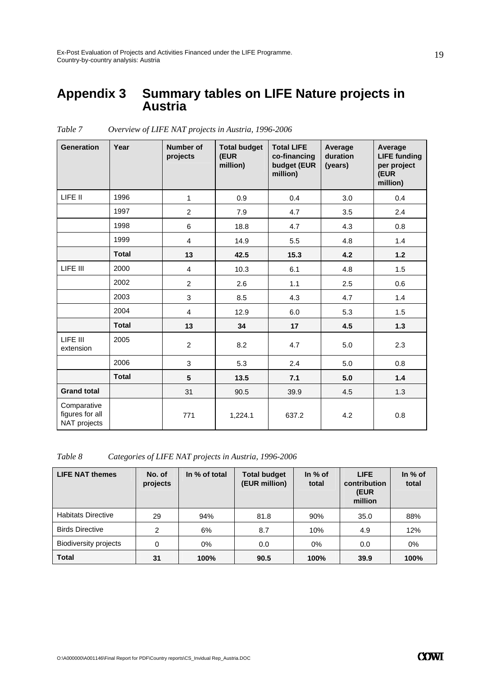### **Appendix 3 Summary tables on LIFE Nature projects in Austria**

| <b>Generation</b>                              | Year         | <b>Number of</b><br>projects | <b>Total budget</b><br>(EUR<br>million) | <b>Total LIFE</b><br>co-financing<br>budget (EUR<br>million) | Average<br>duration<br>(years) | Average<br><b>LIFE funding</b><br>per project<br>(EUR<br>million) |
|------------------------------------------------|--------------|------------------------------|-----------------------------------------|--------------------------------------------------------------|--------------------------------|-------------------------------------------------------------------|
| LIFE II                                        | 1996         | $\mathbf{1}$                 | 0.9                                     | 0.4                                                          | 3.0                            | 0.4                                                               |
|                                                | 1997         | $\overline{2}$               | 7.9                                     | 4.7                                                          | 3.5                            | 2.4                                                               |
|                                                | 1998         | 6                            | 18.8                                    | 4.7                                                          | 4.3                            | 0.8                                                               |
|                                                | 1999         | $\overline{\mathbf{4}}$      | 14.9                                    | 5.5                                                          | 4.8                            | 1.4                                                               |
|                                                | <b>Total</b> | 13                           | 42.5                                    | 15.3                                                         | 4.2                            | $1.2$                                                             |
| LIFE III                                       | 2000         | $\overline{4}$               | 10.3                                    | 6.1                                                          | 4.8                            | 1.5                                                               |
|                                                | 2002         | $\overline{2}$               | 2.6                                     | 1.1                                                          | 2.5                            | 0.6                                                               |
|                                                | 2003         | 3                            | 8.5                                     | 4.3                                                          | 4.7                            | 1.4                                                               |
|                                                | 2004         | $\overline{4}$               | 12.9                                    | 6.0                                                          | 5.3                            | 1.5                                                               |
|                                                | <b>Total</b> | 13                           | 34                                      | 17                                                           | 4.5                            | 1.3                                                               |
| LIFE III<br>extension                          | 2005         | $\overline{2}$               | 8.2                                     | 4.7                                                          | 5.0                            | 2.3                                                               |
|                                                | 2006         | 3                            | 5.3                                     | 2.4                                                          | 5.0                            | 0.8                                                               |
|                                                | <b>Total</b> | $5\phantom{.0}$              | 13.5                                    | 7.1                                                          | 5.0                            | 1.4                                                               |
| <b>Grand total</b>                             |              | 31                           | 90.5                                    | 39.9                                                         | 4.5                            | 1.3                                                               |
| Comparative<br>figures for all<br>NAT projects |              | 771                          | 1,224.1                                 | 637.2                                                        | 4.2                            | 0.8                                                               |

*Table 7 Overview of LIFE NAT projects in Austria, 1996-2006* 

*Table 8 Categories of LIFE NAT projects in Austria, 1996-2006* 

| <b>LIFE NAT themes</b>       | No. of<br>projects | In % of total | <b>Total budget</b><br>(EUR million) | In $%$ of<br>total | <b>LIFE</b><br>contribution<br>(EUR<br>million | In $%$ of<br>total |
|------------------------------|--------------------|---------------|--------------------------------------|--------------------|------------------------------------------------|--------------------|
| <b>Habitats Directive</b>    | 29                 | 94%           | 81.8                                 | 90%                | 35.0                                           | 88%                |
| <b>Birds Directive</b>       | 2                  | 6%            | 8.7                                  | 10%                | 4.9                                            | 12%                |
| <b>Biodiversity projects</b> | 0                  | $0\%$         | 0.0                                  | 0%                 | 0.0                                            | 0%                 |
| <b>Total</b>                 | 31                 | 100%          | 90.5                                 | 100%               | 39.9                                           | 100%               |